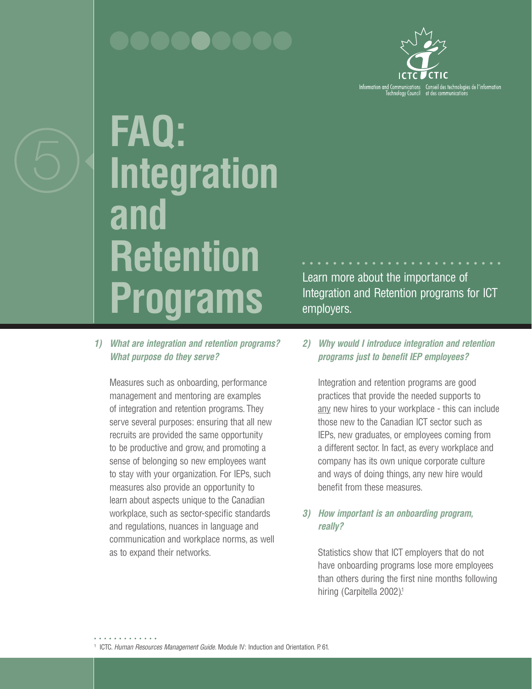

**FAQ: Integration and Retention Programs** 

*1) What are integration and retention programs? What purpose do they serve?*

Measures such as onboarding, performance management and mentoring are examples of integration and retention programs. They serve several purposes: ensuring that all new recruits are provided the same opportunity to be productive and grow, and promoting a sense of belonging so new employees want to stay with your organization. For IEPs, such measures also provide an opportunity to learn about aspects unique to the Canadian workplace, such as sector-specific standards and regulations, nuances in language and communication and workplace norms, as well as to expand their networks.

Learn more about the importance of Integration and Retention programs for ICT employers.

*2) Why would I introduce integration and retention programs just to benefit IEP employees?* 

Integration and retention programs are good practices that provide the needed supports to any new hires to your workplace - this can include those new to the Canadian ICT sector such as IEPs, new graduates, or employees coming from a different sector. In fact, as every workplace and company has its own unique corporate culture and ways of doing things, any new hire would benefit from these measures.

# *3) How important is an onboarding program, really?*

Statistics show that ICT employers that do not have onboarding programs lose more employees than others during the first nine months following hiring (Carpitella 2002).<sup>1</sup>

<sup>1</sup> ICTC. *Human Resources Management Guide*. Module IV: Induction and Orientation. P. 61.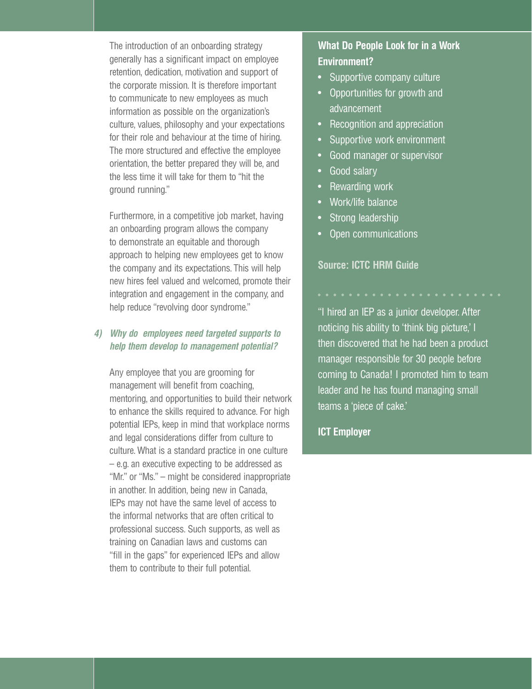The introduction of an onboarding strategy generally has a significant impact on employee retention, dedication, motivation and support of the corporate mission. It is therefore important to communicate to new employees as much information as possible on the organization's culture, values, philosophy and your expectations for their role and behaviour at the time of hiring. The more structured and effective the employee orientation, the better prepared they will be, and the less time it will take for them to "hit the ground running."

Furthermore, in a competitive job market, having an onboarding program allows the company to demonstrate an equitable and thorough approach to helping new employees get to know the company and its expectations. This will help new hires feel valued and welcomed, promote their integration and engagement in the company, and help reduce "revolving door syndrome."

## *4) Why do employees need targeted supports to help them develop to management potential?*

Any employee that you are grooming for management will benefit from coaching, mentoring, and opportunities to build their network to enhance the skills required to advance. For high potential IEPs, keep in mind that workplace norms and legal considerations differ from culture to culture. What is a standard practice in one culture – e.g. an executive expecting to be addressed as "Mr." or "Ms." – might be considered inappropriate in another. In addition, being new in Canada, IEPs may not have the same level of access to the informal networks that are often critical to professional success. Such supports, as well as training on Canadian laws and customs can "fill in the gaps" for experienced IEPs and allow them to contribute to their full potential.

# **What Do People Look for in a Work Environment?**

- Supportive company culture
- Opportunities for growth and advancement
- Recognition and appreciation
- Supportive work environment
- Good manager or supervisor
- Good salary
- Rewarding work
- Work/life balance
- Strong leadership
- Open communications

## **Source: ICTC HRM Guide**

"I hired an IEP as a junior developer. After noticing his ability to 'think big picture,' I then discovered that he had been a product manager responsible for 30 people before coming to Canada! I promoted him to team leader and he has found managing small teams a 'piece of cake.'

## **ICT Employer**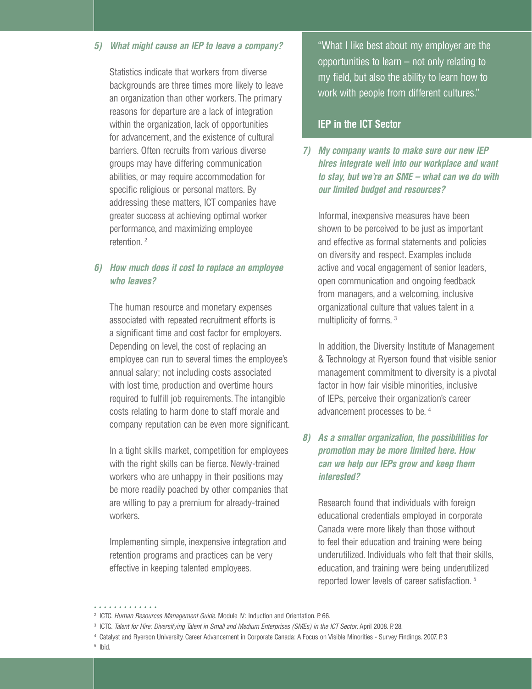### *5) What might cause an IEP to leave a company?*

Statistics indicate that workers from diverse backgrounds are three times more likely to leave an organization than other workers. The primary reasons for departure are a lack of integration within the organization, lack of opportunities for advancement, and the existence of cultural barriers. Often recruits from various diverse groups may have differing communication abilities, or may require accommodation for specific religious or personal matters. By addressing these matters, ICT companies have greater success at achieving optimal worker performance, and maximizing employee retention. 2

## *6) How much does it cost to replace an employee who leaves?*

The human resource and monetary expenses associated with repeated recruitment efforts is a significant time and cost factor for employers. Depending on level, the cost of replacing an employee can run to several times the employee's annual salary; not including costs associated with lost time, production and overtime hours required to fulfill job requirements. The intangible costs relating to harm done to staff morale and company reputation can be even more significant.

In a tight skills market, competition for employees with the right skills can be fierce. Newly-trained workers who are unhappy in their positions may be more readily poached by other companies that are willing to pay a premium for already-trained workers.

Implementing simple, inexpensive integration and retention programs and practices can be very effective in keeping talented employees.

"What I like best about my employer are the opportunities to learn – not only relating to my field, but also the ability to learn how to work with people from different cultures."

## **IEP in the ICT Sector**

*7) My company wants to make sure our new IEP hires integrate well into our workplace and want to stay, but we're an SME – what can we do with our limited budget and resources?*

Informal, inexpensive measures have been shown to be perceived to be just as important and effective as formal statements and policies on diversity and respect. Examples include active and vocal engagement of senior leaders, open communication and ongoing feedback from managers, and a welcoming, inclusive organizational culture that values talent in a multiplicity of forms. 3

In addition, the Diversity Institute of Management & Technology at Ryerson found that visible senior management commitment to diversity is a pivotal factor in how fair visible minorities, inclusive of IEPs, perceive their organization's career advancement processes to be. 4

# *8) As a smaller organization, the possibilities for promotion may be more limited here. How can we help our IEPs grow and keep them interested?*

Research found that individuals with foreign educational credentials employed in corporate Canada were more likely than those without to feel their education and training were being underutilized. Individuals who felt that their skills, education, and training were being underutilized reported lower levels of career satisfaction. 5

<sup>. . . . . . . . . . . . .</sup> 

<sup>2</sup> ICTC. *Human Resources Management Guide*. Module IV: Induction and Orientation. P. 66.

<sup>3</sup> ICTC. *Talent for Hire: Diversifying Talent in Small and Medium Enterprises (SMEs) in the ICT Sector*. April 2008. P. 28.

<sup>4</sup> Catalyst and Ryerson University. Career Advancement in Corporate Canada: A Focus on Visible Minorities - Survey Findings. 2007. P. 3